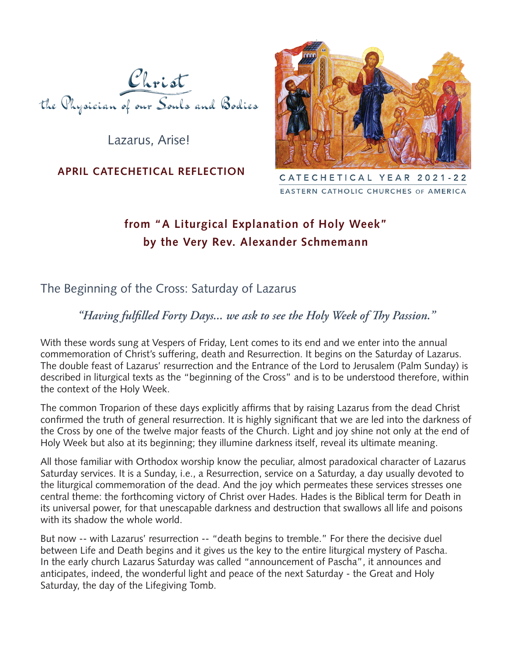

Lazarus, Arise!

#### **APRIL CATECHETICAL REFLECTION**



CATECHETICAL YEAR 2021-22 EASTERN CATHOLIC CHURCHES OF AMERICA

# **from "A Liturgical Explanation of Holy Week" by the Very Rev. Alexander Schmemann**

# The Beginning of the Cross: Saturday of Lazarus

### *"Having fulfilled Forty Days... we ask to see the Holy Week of Thy Passion."*

With these words sung at Vespers of Friday, Lent comes to its end and we enter into the annual commemoration of Christ's suffering, death and Resurrection. It begins on the Saturday of Lazarus. The double feast of Lazarus' resurrection and the Entrance of the Lord to Jerusalem (Palm Sunday) is described in liturgical texts as the "beginning of the Cross" and is to be understood therefore, within the context of the Holy Week.

The common Troparion of these days explicitly affirms that by raising Lazarus from the dead Christ confirmed the truth of general resurrection. It is highly significant that we are led into the darkness of the Cross by one of the twelve major feasts of the Church. Light and joy shine not only at the end of Holy Week but also at its beginning; they illumine darkness itself, reveal its ultimate meaning.

All those familiar with Orthodox worship know the peculiar, almost paradoxical character of Lazarus Saturday services. It is a Sunday, i.e., a Resurrection, service on a Saturday, a day usually devoted to the liturgical commemoration of the dead. And the joy which permeates these services stresses one central theme: the forthcoming victory of Christ over Hades. Hades is the Biblical term for Death in its universal power, for that unescapable darkness and destruction that swallows all life and poisons with its shadow the whole world.

But now -- with Lazarus' resurrection -- "death begins to tremble." For there the decisive duel between Life and Death begins and it gives us the key to the entire liturgical mystery of Pascha. In the early church Lazarus Saturday was called "announcement of Pascha", it announces and anticipates, indeed, the wonderful light and peace of the next Saturday - the Great and Holy Saturday, the day of the Lifegiving Tomb.